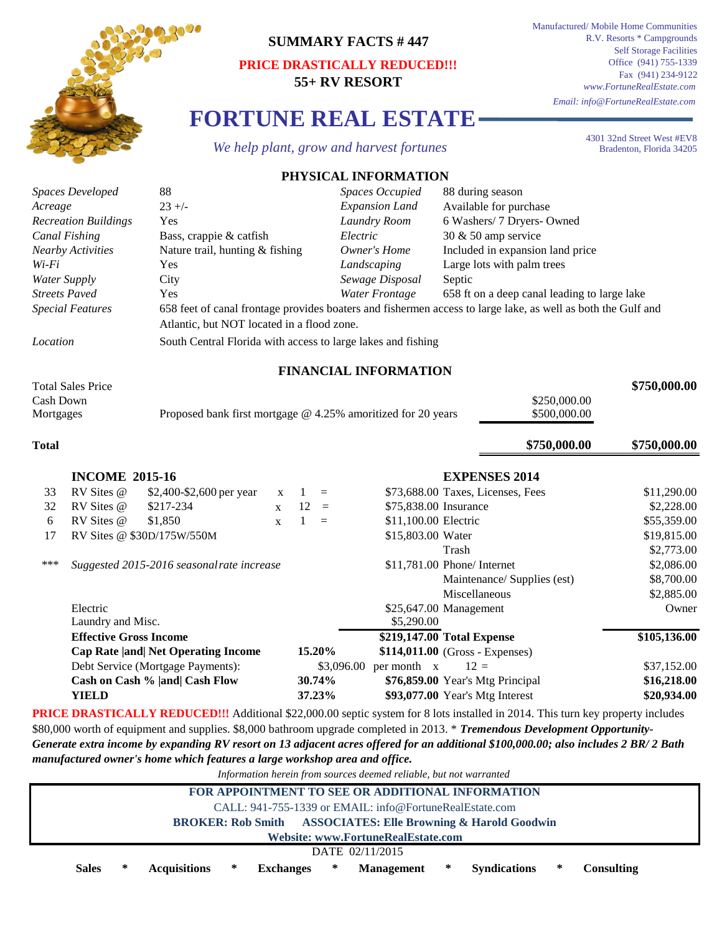

## **SUMMARY FACTS # 447**

## **PRICE DRASTICALLY REDUCED!!! 55+ RV RESORT**

**FORTUNE REAL ESTATE**

 *We help plant, grow and harvest fortunes*

Manufactured/ Mobile Home Communities R.V. Resorts \* Campgrounds Self Storage Facilities Office (941) 755-1339 Fax (941) 234-9122 *www.FortuneRealEstate.com Email: info@FortuneRealEstate.com*

> 4301 32nd Street West #EV8 Bradenton, Florida 34205

## **\$750,000.00** \$250,000.00 \$500,000.00 **\$750,000.00 \$750,000.00** 33 RV Sites @ \$2,400-\$2,600 per year x 1 = \$73,688.00 Taxes, Licenses, Fees \$11,290.00 32 RV Sites @ \$217-234 x 12 = \$75,838.00 Insurance \$2,228.00 6 RV Sites @ \$1,850  $x = 1$  = \$11,100.00 Electric \$55,359.00 17 \$19,815.00 RV Sites @ \$30D/175W/550M Water \$2,773.00 \*\*\* *Suggested 2015-2016 seasonal rate increase* \$11,781.00 Phone/ Internet \$2,086.00 \$8,700.00 \$2,885.00 Owner **\$105,136.00 15.20%** \$3,096.00 per month  $x = 12 =$  \$37,152.00 **30.74% \$16,218.00 \$76,859.00** Year's Mtg Principal **37.23% \$20,934.00 \$93,077.00** Year's Mtg Interest *Owner's Home Landscaping* **FINANCIAL INFORMATION** Total Sales Price Cash Down **Total INCOME 2015-16 EXPENSES 2014** Proposed bank first mortgage @ 4.25% amoritized for 20 years \$11,781.00 Phone/ Internet *Expansion Land Canal Fishing* **Bass, crappie & catfish** *Electric* 30 & 50 amp service *Recreation Buildings* Yes *Laundry Room* 6 Washers/ 7 Dryers- Owned *Acreage* RV Sites @ \$2,400-\$2,600 per year RV Sites @ \$217-234 \$15,803.00 Water Trash *Streets Paved Yes Yes Water Frontage* 658 ft on a deep canal leading to large lake *Water Supply* Yes Large lots with palm trees *Nearby Activities* Nature trail, hunting & fishing Available for purchase Maintenance/ Supplies (est) Miscellaneous Electric **Effective Gross Income Cap Rate |and| Net Operating Income** \$25,647.00 Management **\$219,147.00 Total Expense \$114,011.00** (Gross - Expenses) **PRICE DRASTICALLY REDUCED!!!** Additional \$22,000.00 septic system for 8 lots installed in 2014. This turn key property includes \$80,000 worth of equipment and supplies. \$8,000 bathroom upgrade completed in 2013. \* *Tremendous Development Opportunity-*Laundry and Misc.  $$5,290.00$ Debt Service (Mortgage Payments): **Cash on Cash % |and| Cash Flow YIELD** *Special Features Location* South Central Florida with access to large lakes and fishing City *Sewage Disposal* Septic Mortgages RV Sites @ \$1,850 Included in expansion land price *Electric*  $23 +/-$ *Wi-Fi* **PHYSICAL INFORMATION** *Spaces Developed* 88 *Spaces Occupied* 88 during season 658 feet of canal frontage provides boaters and fishermen access to large lake, as well as both the Gulf and Atlantic, but NOT located in a flood zone.

*Generate extra income by expanding RV resort on 13 adjacent acres offered for an additional \$100,000.00; also includes 2 BR/ 2 Bath manufactured owner's home which features a large workshop area and office.*

*Information herein from sources deemed reliable, but not warranted*

| experimentally not only promission occurred accuracy only not mented and |                                                                         |   |                     |   |                  |   |                   |        |                     |   |            |  |  |
|--------------------------------------------------------------------------|-------------------------------------------------------------------------|---|---------------------|---|------------------|---|-------------------|--------|---------------------|---|------------|--|--|
|                                                                          | FOR APPOINTMENT TO SEE OR ADDITIONAL INFORMATION                        |   |                     |   |                  |   |                   |        |                     |   |            |  |  |
|                                                                          | CALL: 941-755-1339 or EMAIL: info@FortuneRealEstate.com                 |   |                     |   |                  |   |                   |        |                     |   |            |  |  |
|                                                                          | <b>BROKER: Rob Smith ASSOCIATES: Elle Browning &amp; Harold Goodwin</b> |   |                     |   |                  |   |                   |        |                     |   |            |  |  |
| Website: www.FortuneRealEstate.com                                       |                                                                         |   |                     |   |                  |   |                   |        |                     |   |            |  |  |
| DATE 02/11/2015                                                          |                                                                         |   |                     |   |                  |   |                   |        |                     |   |            |  |  |
|                                                                          | <b>Sales</b>                                                            | ∗ | <b>Acquisitions</b> | ∗ | <b>Exchanges</b> | ∗ | <b>Management</b> | $\ast$ | <b>Syndications</b> | ⋇ | Consulting |  |  |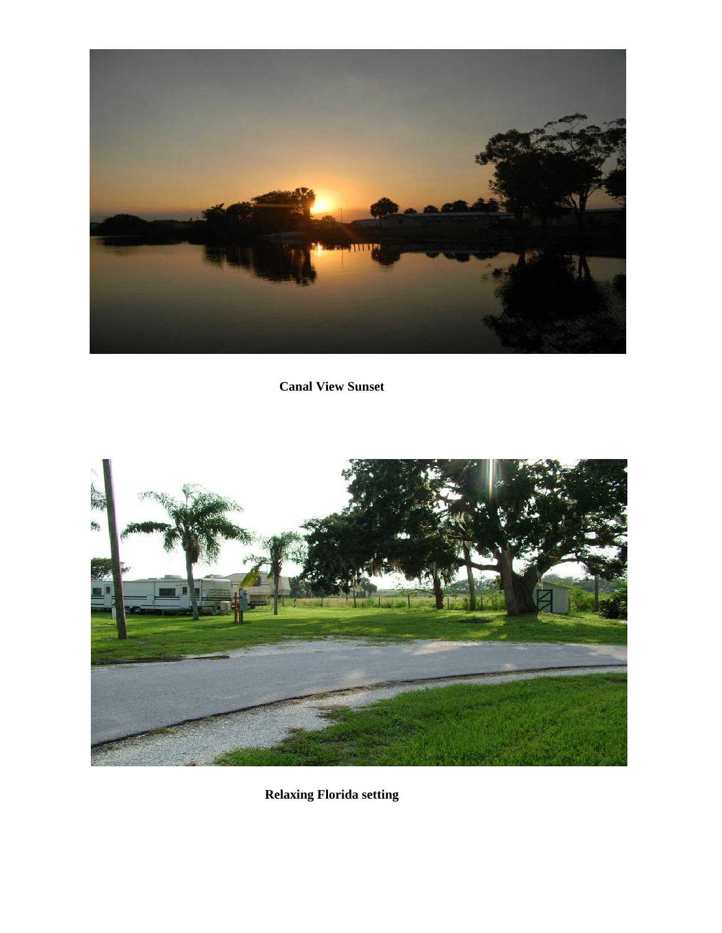

**Canal View Sunset**



**Relaxing Florida setting**